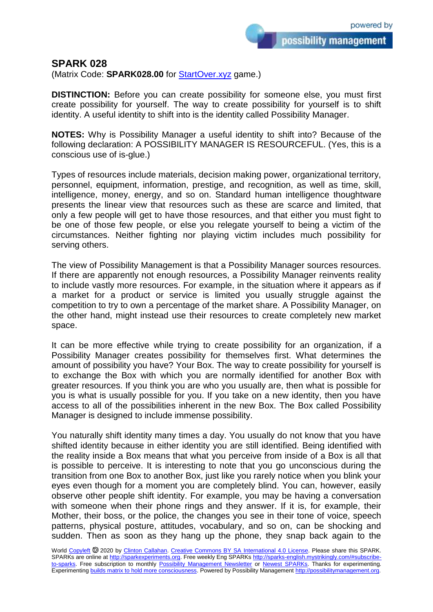possibility management

## **SPARK 028**

(Matrix Code: **SPARK028.00** for **StartOver.xyz** game.)

**DISTINCTION:** Before you can create possibility for someone else, you must first create possibility for yourself. The way to create possibility for yourself is to shift identity. A useful identity to shift into is the identity called Possibility Manager.

**NOTES:** Why is Possibility Manager a useful identity to shift into? Because of the following declaration: A POSSIBILITY MANAGER IS RESOURCEFUL. (Yes, this is a conscious use of is-glue.)

Types of resources include materials, decision making power, organizational territory, personnel, equipment, information, prestige, and recognition, as well as time, skill, intelligence, money, energy, and so on. Standard human intelligence thoughtware presents the linear view that resources such as these are scarce and limited, that only a few people will get to have those resources, and that either you must fight to be one of those few people, or else you relegate yourself to being a victim of the circumstances. Neither fighting nor playing victim includes much possibility for serving others.

The view of Possibility Management is that a Possibility Manager sources resources. If there are apparently not enough resources, a Possibility Manager reinvents reality to include vastly more resources. For example, in the situation where it appears as if a market for a product or service is limited you usually struggle against the competition to try to own a percentage of the market share. A Possibility Manager, on the other hand, might instead use their resources to create completely new market space.

It can be more effective while trying to create possibility for an organization, if a Possibility Manager creates possibility for themselves first. What determines the amount of possibility you have? Your Box. The way to create possibility for yourself is to exchange the Box with which you are normally identified for another Box with greater resources. If you think you are who you usually are, then what is possible for you is what is usually possible for you. If you take on a new identity, then you have access to all of the possibilities inherent in the new Box. The Box called Possibility Manager is designed to include immense possibility.

You naturally shift identity many times a day. You usually do not know that you have shifted identity because in either identity you are still identified. Being identified with the reality inside a Box means that what you perceive from inside of a Box is all that is possible to perceive. It is interesting to note that you go unconscious during the transition from one Box to another Box, just like you rarely notice when you blink your eyes even though for a moment you are completely blind. You can, however, easily observe other people shift identity. For example, you may be having a conversation with someone when their phone rings and they answer. If it is, for example, their Mother, their boss, or the police, the changes you see in their tone of voice, speech patterns, physical posture, attitudes, vocabulary, and so on, can be shocking and sudden. Then as soon as they hang up the phone, they snap back again to the